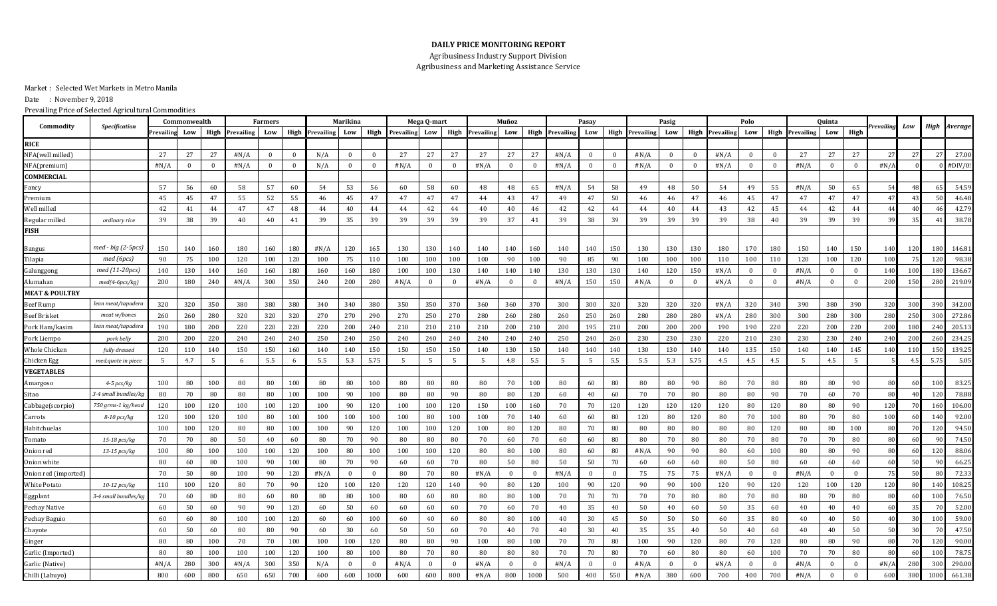## **DAILY PRICE MONITORING REPORT** Agribusiness Industry Support Division Agribusiness and Marketing Assistance Service

Market : Selected Wet Markets in Metro Manila Date : November 9, 2018 Prevailing Price of Selected Agricultural Commodities

| Commodity                 |                      | Commonwealth |          |          |            | <b>Farmers</b> |              |            | Marikina       |          | Mega Q-mart     |                |          | Muñoz                  |                |          | Pasay             |                |          | Pasig      |          |          | Polo                   |              |              |            | Quinta         |          |                |                |               |         |
|---------------------------|----------------------|--------------|----------|----------|------------|----------------|--------------|------------|----------------|----------|-----------------|----------------|----------|------------------------|----------------|----------|-------------------|----------------|----------|------------|----------|----------|------------------------|--------------|--------------|------------|----------------|----------|----------------|----------------|---------------|---------|
|                           | <b>Specification</b> | Prevailing   | Low      | High     | Prevailing | Low            | High         | Prevailing | Low            |          | High Prevailing | Low            |          | <b>High</b> Prevailing | Low            | High     | <b>Prevailing</b> | Low            | High     | Prevailing | Low      |          | <b>High</b> Prevailing | Low          | High         | Prevailing | Low            | High     | revailing      | Low            | High          | Average |
| RICE                      |                      |              |          |          |            |                |              |            |                |          |                 |                |          |                        |                |          |                   |                |          |            |          |          |                        |              |              |            |                |          |                |                |               |         |
| NFA(well milled)          |                      | 27           | 27       | 27       | #N/A       | $\Omega$       | $\Omega$     | N/A        | $\Omega$       | $\Omega$ | 27              | 27             | 27       | 27                     | 27             | 27       | #N/A              | $\Omega$       | $\Omega$ | #N/A       | $\Omega$ | $\Omega$ | #N/A                   | $\Omega$     | $\Omega$     | 27         | 27             | 27       | 27             | 27             |               | 27.00   |
| NFA(premium)              |                      | #N/A         | $\Omega$ | $\Omega$ | #N/A       | $\mathbf{0}$   | $\mathbf{0}$ | N/A        | $\overline{0}$ | $\bf{0}$ | #N/A            | $\mathbf{0}$   | $\Omega$ | #N/A                   | $\overline{0}$ | $\Omega$ | #N/A              | $\overline{0}$ | $\bf{0}$ | #N/A       | $\Omega$ | $\bf{0}$ | #N/A                   | $\mathbf{0}$ | $\Omega$     | #N/A       | $\overline{0}$ | $\Omega$ | #N/I           |                |               | #DIV/0! |
| COMMERCIAL                |                      |              |          |          |            |                |              |            |                |          |                 |                |          |                        |                |          |                   |                |          |            |          |          |                        |              |              |            |                |          |                |                |               |         |
| Fancy                     |                      | 57           | 56       | 60       | 58         | 57             | 60           | 54         | 53             | 56       | 60              | 58             | 60       | 48                     | 48             | 65       | #N/A              | 54             | 58       | 49         | 48       | 50       | 54                     | 49           | 55           | #N/A       | 50             | 65       | 54             | 48             |               | 54.59   |
| Premium                   |                      | 45           | 45       | 47       | 55         | 52             | 55           | 46         | 45             | 47       | 47              | 47             | 47       | 44                     | 43             | 47       | 49                | 47             | 50       | 46         | 46       | 47       | 46                     | 45           | 47           | 47         | 47             | 47       | 4 <sup>7</sup> |                |               | 46.48   |
| Well milled               |                      | 42           | 41       | 44       | 47         | 47             | 48           | 44         | 40             | 44       | 44              | 42             | 44       | 40                     | 40             | 46       | 42                | 42             | 44       | 44         | 40       | 44       | 43                     | 42           | 45           | 44         | 42             | 44       | 44             | 40             |               | 42.79   |
| Regular milled            | ordinary rice        | 39           | 38       | 39       | 40         | 40             | 41           | 39         | 35             | 39       | 39              | 39             | 39       | 39                     | 37             | 41       | 39                | 38             | 39       | 39         | 39       | 39       | 39                     | 38           | 40           | 39         | 39             | 39       |                |                |               | 38.78   |
| FISH                      |                      |              |          |          |            |                |              |            |                |          |                 |                |          |                        |                |          |                   |                |          |            |          |          |                        |              |              |            |                |          |                |                |               |         |
| Bangus                    | med - big (2-5pcs    | 150          | 140      | 160      | 180        | 160            | 180          | #N/A       | 120            | 165      | 130             | 130            | 140      | 140                    | 140            | 160      | 140               | 140            | 150      | 130        | 130      | 130      | 180                    | 170          | 180          | 150        | 140            | 150      | 140            | 120            | 180           | 146.81  |
| Tilapia                   | med (6pcs)           | 90           | 75       | 100      | 120        | 100            | 120          | 100        | 75             | 110      | 100             | 100            | 100      | 100                    | 90             | 100      | 90                | 85             | 90       | 100        | 100      | 100      | 110                    | 100          | 110          | 120        | 100            | 120      | 100            | 75             | 120           | 98.38   |
| Galunggong                | $med(11-20pcs)$      | 140          | 130      | 140      | 160        | 160            | 180          | 160        | 160            | 180      | 100             | 100            | 130      | 140                    | 140            | 140      | 130               | 130            | 130      | 140        | 120      | 150      | #N/A                   | $\mathbf{0}$ | $\theta$     | #N/A       | $\overline{0}$ | $\Omega$ | 140            | 100            | 180           | 136.67  |
| Alumahan                  | med(4-6pcs/kg)       | 200          | 180      | 240      | #N/A       | 300            | 350          | 240        | 200            | 280      | #N/A            | $\Omega$       | $\Omega$ | #N/A                   | $\overline{0}$ | $\Omega$ | #N/A              | 150            | 150      | #N/A       | $\Omega$ | $\Omega$ | #N/A                   | $\mathbf{0}$ | $\Omega$     | #N/A       | $\theta$       | $\Omega$ | 200            | 150            | 280           | 219.09  |
| <b>MEAT &amp; POULTRY</b> |                      |              |          |          |            |                |              |            |                |          |                 |                |          |                        |                |          |                   |                |          |            |          |          |                        |              |              |            |                |          |                |                |               |         |
| Beef Rump                 | lean meat/tapadera   | 320          | 320      | 350      | 380        | 380            | 380          | 340        | 340            | 380      | 350             | 350            | 370      | 360                    | 360            | 370      | 300               | 300            | 320      | 320        | 320      | 320      | #N/A                   | 320          | 340          | 390        | 380            | 390      | 320            | 300            | 390           | 342.00  |
| Beef Brisket              | meat w/bones         | 260          | 260      | 280      | 320        | 320            | 320          | 270        | 270            | 290      | 270             | 250            | 270      | 280                    | 260            | 280      | 260               | 250            | 260      | 280        | 280      | 280      | #N/A                   | 280          | 300          | 300        | 280            | 300      | 280            | 250            | 300           | 272.86  |
| Pork Ham/kasim            | lean meat/tapadera   | 190          | 180      | 200      | 220        | 220            | 220          | 220        | 200            | 240      | 210             | 210            | 210      | 210                    | 200            | 210      | 200               | 195            | 210      | 200        | 200      | 200      | 190                    | 190          | 220          | 220        | 200            | 220      | 200            | 180            | 240           | 205.13  |
| Pork Liempo               | pork belly           | 200          | 200      | 220      | 240        | 240            | 240          | 250        | 240            | 250      | 240             | 240            | 240      | 240                    | 240            | 240      | 250               | 240            | 260      | 230        | 230      | 230      | 220                    | 210          | 230          | 230        | 230            | 240      | 240            | 200            | 260           | 234.25  |
| Whole Chicken             | fully dressed        | 120          | 110      | 140      | 150        | 150            | 160          | 140        | 140            | 150      | 150             | 150            | 150      | 140                    | 130            | 150      | 140               | 140            | 140      | 130        | 130      | 140      | 140                    | 135          | 150          | 140        | 140            | 145      | 140            | 110            | 150           | 139.25  |
| Chicken Egg               | med.quote in piece   | -5           | 4.7      | - 5      | 6          | 5.5            | -6           | 5.5        | 5.3            | 5.75     | -5              | -5             | 5        | 5                      | 4.8            | 5.5      | -5                | -5             | 5.5      | 5.5        | 5.3      | 5.75     | 4.5                    | 4.5          | 4.5          | - 5        | 4.5            | -5       |                | 4.5            | 5.75          | 5.05    |
| VEGETABLES                |                      |              |          |          |            |                |              |            |                |          |                 |                |          |                        |                |          |                   |                |          |            |          |          |                        |              |              |            |                |          |                |                |               |         |
| Amargoso                  | $4-5$ pcs/kg         | 100          | 80       | 100      | 80         | 80             | 100          | 80         | 80             | 100      | 80              | 80             | 80       | 80                     | 70             | 100      | 80                | 60             | 80       | 80         | 80       | 90       | 80                     | 70           | 80           | 80         | 80             | 90       | 80             | 60             | 100           | 83.25   |
| Sitao                     | 3-4 small bundles/kg | 80           | 70       | 80       | 80         | 80             | 100          | 100        | 90             | 100      | 80              | 80             | 90       | 80                     | 80             | 120      | 60                | 40             | 60       | 70         | 70       | 80       | 80                     | 80           | 90           | 70         | 60             | 70       | 80             | 4 <sub>0</sub> | 12(           | 78.88   |
| Cabbage(scorpio)          | 750 grms-1 kg/heac   | 120          | 100      | 120      | 100        | 100            | 120          | 100        | 90             | 120      | 100             | 100            | 120      | 150                    | 100            | 160      | 70                | 70             | 120      | 120        | 120      | 120      | 120                    | 80           | 120          | 80         | 80             | 90       | 120            |                | 160           | 106.00  |
| Carrots                   | 8-10 pcs/kg          | 120          | 100      | 120      | 100        | 80             | 100          | 100        | 100            | 100      | 100             | 80             | 100      | 100                    | 70             | 140      | 60                | 60             | 80       | 120        | 80       | 120      | 80                     | 70           | 100          | 80         | 70             | 80       | 100            | 60             | 140           | 92.00   |
| Habitchuelas              |                      | 100          | 100      | 120      | 80         | 80             | 100          | 100        | 90             | 120      | 100             | 100            | 120      | 100                    | 80             | 120      | 80                | 70             | 80       | 80         | 80       | 80       | 80                     | 80           | 120          | 80         | 80             | 100      | -80            | 70             | 120           | 94.50   |
| `omato                    | 15-18 pcs/kg         | 70           | 70       | 80       | 50         | 40             | 60           | 80         | 70             | 90       | 80              | 80             | 80       | 70                     | 60             | 70       | 60                | 60             | 80       | 80         | 70       | 80       | 80                     | 70           | 80           | 70         | 70             | 80       | $\mathcal{R}$  |                | $\Omega$      | 74.50   |
| Onion red                 | 13-15 pcs/kg         | 100          | 80       | 100      | 100        | 100            | 120          | 100        | 80             | 100      | 100             | 100            | 120      | 80                     | 80             | 100      | 80                | 60             | 80       | #N/A       | 90       | 90       | 80                     | 60           | 100          | 80         | 80             | 90       | 80             | 60             | 120           | 88.06   |
| Onion white               |                      | 80           | 60       | 80       | 100        | 90             | 100          | 80         | 70             | 90       | 60              | 60             | 70       | 80                     | 50             | 80       | 50                | 50             | 70       | 60         | 60       | 60       | 80                     | 50           | 80           | 60         | 60             | 60       | 60             | 50             | 90            | 66.25   |
| Onion red (imported)      |                      | 70           | 50       | 80       | 100        | 90             | 120          | H N/A      | $\Omega$       | $\Omega$ | 80              | 70             | 80       | #N/A                   | $\Omega$       | $\Omega$ | #N/A              | - 0            | $\Omega$ | 75         | 75       | 75       | #N/A                   | $\Omega$     | $\Omega$     | #N/A       | $\Omega$       | $\Omega$ |                | 5(             | $\mathcal{R}$ | 72.33   |
| White Potato              | 10-12 pcs/kg         | 110          | 100      | 120      | 80         | 70             | 90           | 120        | 100            | 120      | 120             | 120            | 140      | 90                     | 80             | 120      | 100               | 90             | 120      | 90         | 90       | 100      | 120                    | 90           | 120          | 120        | 100            | 120      | 120            | 80             | 14(           | 108.25  |
| Eggplant                  | 3-4 small bundles/k  | 70           | 60       | 80       | 80         | 60             | 80           | 80         | 80             | 100      | 80              | 60             | 80       | 80                     | 80             | 100      | 70                | 70             | 70       | 70         | 70       | 80       | 80                     | 70           | 80           | 80         | 70             | 80       | 80             | 60             | 100           | 76.50   |
| Pechay Native             |                      | 60           | 50       | 60       | 90         | 90             | 120          | 60         | 50             | 60       | 60              | 60             | 60       | 70                     | 60             | 70       | 40                | 35             | 40       | 50         | 40       | 60       | 50                     | 35           | 60           | 40         | 40             | 40       | 60             | 35             |               | 52.00   |
| Pechay Baguio             |                      | 60           | 60       | 80       | 100        | 100            | 120          | 60         | 60             | 100      | 60              | 40             | 60       | 80                     | 80             | 100      | 40                | 30             | 45       | 50         | 50       | 50       | 60                     | 35           | 80           | 40         | 40             | 50       | 40             | 30             | 100           | 59.00   |
| Chayote                   |                      | 60           | 50       | 60       | 80         | 80             | 90           | 60         | 30             | 60       | 50              | 50             | 60       | 70                     | 40             | 70       | 40                | 30             | 40       | 35         | 35       | 40       | 50                     | 40           | 60           | 40         | 40             | 50       | 50             | 30             | 70            | 47.50   |
| Ginger                    |                      | 80           | 80       | 100      | 70         | 70             | 100          | 100        | 100            | 120      | 80              | 80             | 90       | 100                    | 80             | 100      | 70                | 70             | 80       | 100        | 90       | 120      | 80                     | 70           | 120          | 80         | 80             | 90       | 80             | 70             | 120           | 90.00   |
| Garlic (Imported)         |                      | 80           | 80       | 100      | 100        | 100            | 120          | 100        | 80             | 100      | 80              | 70             | 80       | 80                     | 80             | 80       | 70                | 70             | 80       | 70         | 60       | 80       | 80                     | 60           | 100          | 70         | 70             | 80       | 80             |                | 10(           | 78.75   |
| Garlic (Native)           |                      | #N/A         | 280      | 300      | #N/A       | 300            | 350          | N/A        | $\mathbf{0}$   | $\bf{0}$ | #N/A            | $\overline{0}$ | $\Omega$ | #N/A                   | $\Omega$       | $\theta$ | #N/A              | $\mathbf{0}$   | $\Omega$ | #N/A       | $\Omega$ | $\Omega$ | #N/A                   | $\mathbf{0}$ | $\mathbf{0}$ | #N/A       | $\Omega$       | $\bf{0}$ | #N/I           | 280            | 300           | 290.00  |
| Chilli (Labuyo)           |                      | 800          | 600      | 800      | 650        | 650            | 700          | 600        | 600            | 1000     | 600             | 600            | 800      | #N/A                   | 800            | 1000     | 500               | 400            | 550      | #N/A       | 380      | 600      | 700                    | 400          | 700          | #N/A       | $\overline{0}$ | $\Omega$ | 600            | 380            | 1000          | 661.38  |